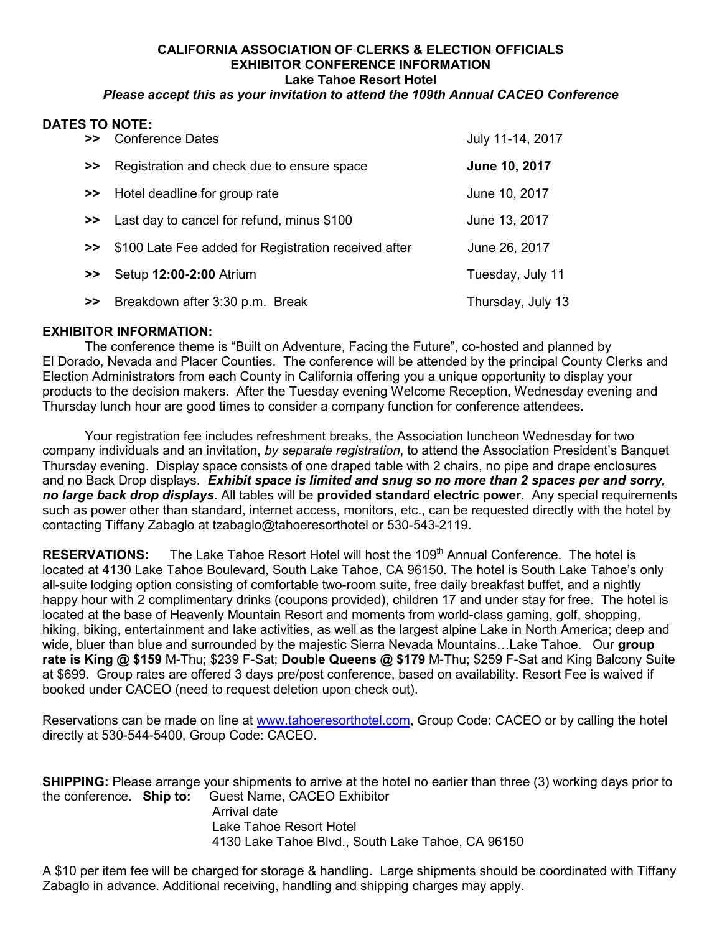## **CALIFORNIA ASSOCIATION OF CLERKS & ELECTION OFFICIALS EXHIBITOR CONFERENCE INFORMATION Lake Tahoe Resort Hotel**

## *Please accept this as your invitation to attend the 109th Annual CACEO Conference*

## **DATES TO NOTE:**

|               | >> Conference Dates                                  | July 11-14, 2017  |
|---------------|------------------------------------------------------|-------------------|
| >>            | Registration and check due to ensure space           | June 10, 2017     |
|               | >> Hotel deadline for group rate                     | June 10, 2017     |
|               | >> Last day to cancel for refund, minus \$100        | June 13, 2017     |
| $\rightarrow$ | \$100 Late Fee added for Registration received after | June 26, 2017     |
| >>            | Setup 12:00-2:00 Atrium                              | Tuesday, July 11  |
| $\rightarrow$ | Breakdown after 3:30 p.m. Break                      | Thursday, July 13 |

## **EXHIBITOR INFORMATION:**

The conference theme is "Built on Adventure, Facing the Future", co-hosted and planned by El Dorado, Nevada and Placer Counties. The conference will be attended by the principal County Clerks and Election Administrators from each County in California offering you a unique opportunity to display your products to the decision makers. After the Tuesday evening Welcome Reception**,** Wednesday evening and Thursday lunch hour are good times to consider a company function for conference attendees.

Your registration fee includes refreshment breaks, the Association luncheon Wednesday for two company individuals and an invitation, *by separate registration*, to attend the Association President's Banquet Thursday evening. Display space consists of one draped table with 2 chairs, no pipe and drape enclosures and no Back Drop displays. *Exhibit space is limited and snug so no more than 2 spaces per and sorry, no large back drop displays.* All tables will be **provided standard electric power**. Any special requirements such as power other than standard, internet access, monitors, etc., can be requested directly with the hotel by contacting Tiffany Zabaglo at tzabaglo@tahoeresorthotel or 530-543-2119.

**RESERVATIONS:** The Lake Tahoe Resort Hotel will host the 109<sup>th</sup> Annual Conference. The hotel is located at 4130 Lake Tahoe Boulevard, South Lake Tahoe, CA 96150. The hotel is South Lake Tahoe's only all-suite lodging option consisting of comfortable two-room suite, free daily breakfast buffet, and a nightly happy hour with 2 complimentary drinks (coupons provided), children 17 and under stay for free. The hotel is located at the base of Heavenly Mountain Resort and moments from world-class gaming, golf, shopping, hiking, biking, entertainment and lake activities, as well as the largest alpine Lake in North America; deep and wide, bluer than blue and surrounded by the majestic Sierra Nevada Mountains…Lake Tahoe. Our **group rate is King @ \$159** M-Thu; \$239 F-Sat; **Double Queens @ \$179** M-Thu; \$259 F-Sat and King Balcony Suite at \$699. Group rates are offered 3 days pre/post conference, based on availability. Resort Fee is waived if booked under CACEO (need to request deletion upon check out).

Reservations can be made on line at [www.tahoeresorthotel.com,](http://www.tahoeresorthotel.com/) Group Code: CACEO or by calling the hotel directly at 530-544-5400, Group Code: CACEO.

**SHIPPING:** Please arrange your shipments to arrive at the hotel no earlier than three (3) working days prior to the conference. **Ship to:** Guest Name, CACEO Exhibitor Arrival date Lake Tahoe Resort Hotel 4130 Lake Tahoe Blvd., South Lake Tahoe, CA 96150

A \$10 per item fee will be charged for storage & handling. Large shipments should be coordinated with Tiffany Zabaglo in advance. Additional receiving, handling and shipping charges may apply.